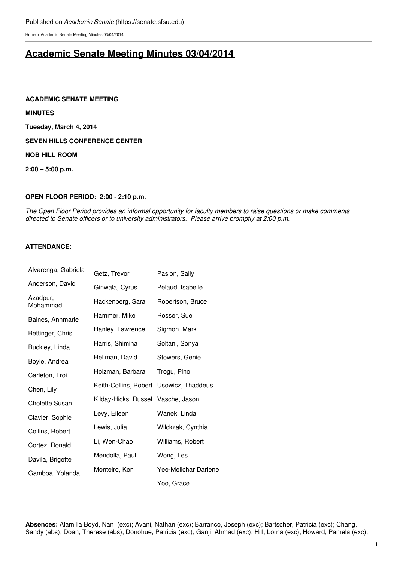[Home](https://senate.sfsu.edu/) > Academic Senate Meeting Minutes 03/04/2014

# **Academic Senate Meeting Minutes [03/04/2014](https://senate.sfsu.edu/meeting-minutes-archive/academic-senate-meeting-minutes-03042014)**

**ACADEMIC SENATE MEETING**

**MINUTES**

**Tuesday, March 4, 2014**

**SEVEN HILLS CONFERENCE CENTER**

**NOB HILL ROOM**

**2:00 – 5:00 p.m.**

# **OPEN FLOOR PERIOD: 2:00 - 2:10 p.m.**

The Open Floor Period provides an informal opportunity for faculty members to raise questions or make comments *directed to Senate officers or to university administrators. Please arrive promptly at 2:00 p.m.*

# **ATTENDANCE:**

| Alvarenga, Gabriela   | Getz, Trevor                            | Pasion, Sally        |
|-----------------------|-----------------------------------------|----------------------|
| Anderson, David       | Ginwala, Cyrus                          | Pelaud, Isabelle     |
| Azadpur,<br>Mohammad  | Hackenberg, Sara                        | Robertson, Bruce     |
| Baines, Annmarie      | Hammer, Mike                            | Rosser, Sue          |
| Bettinger, Chris      | Hanley, Lawrence                        | Sigmon, Mark         |
| Buckley, Linda        | Harris, Shimina                         | Soltani, Sonya       |
| Boyle, Andrea         | Hellman, David                          | Stowers, Genie       |
| Carleton, Troi        | Holzman, Barbara                        | Trogu, Pino          |
| Chen, Lily            | Keith-Collins, Robert Usowicz, Thaddeus |                      |
| <b>Cholette Susan</b> | Kilday-Hicks, Russel                    | Vasche, Jason        |
| Clavier, Sophie       | Levy, Eileen                            | Wanek, Linda         |
| Collins, Robert       | Lewis, Julia                            | Wilckzak, Cynthia    |
| Cortez, Ronald        | Li, Wen-Chao                            | Williams, Robert     |
| Davila, Brigette      | Mendolla, Paul                          | Wong, Les            |
| Gamboa, Yolanda       | Monteiro, Ken                           | Yee-Melichar Darlene |
|                       |                                         | Yoo, Grace           |

**Absences:** Alamilla Boyd, Nan (exc); Avani, Nathan (exc); Barranco, Joseph (exc); Bartscher, Patricia (exc); Chang, Sandy (abs); Doan, Therese (abs); Donohue, Patricia (exc); Ganji, Ahmad (exc); Hill, Lorna (exc); Howard, Pamela (exc);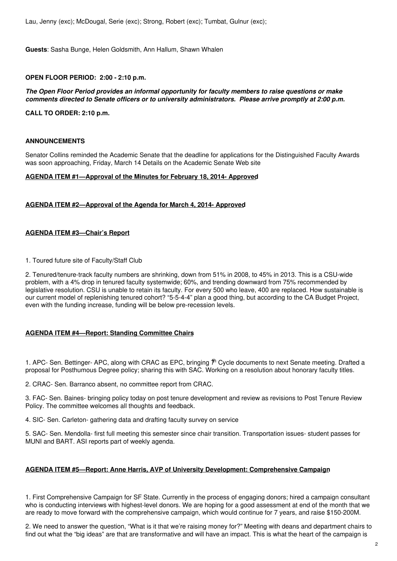Lau, Jenny (exc); McDougal, Serie (exc); Strong, Robert (exc); Tumbat, Gulnur (exc);

**Guests**: Sasha Bunge, Helen Goldsmith, Ann Hallum, Shawn Whalen

# **OPEN FLOOR PERIOD: 2:00 - 2:10 p.m.**

#### *The Open Floor Period provides an informal opportunity for faculty members to raise questions or make comments directed to Senate officers or to university administrators. Please arrive promptly at 2:00 p.m.*

**CALL TO ORDER: 2:10 p.m.**

# **ANNOUNCEMENTS**

Senator Collins reminded the Academic Senate that the deadline for applications for the Distinguished Faculty Awards was soon approaching, Friday, March 14 Details on the Academic Senate Web site

#### **AGENDA ITEM #1—Approval of the Minutes for February 18, 2014- Approved**

#### **AGENDA ITEM #2—Approval of the Agenda for March 4, 2014- Approved**

#### **AGENDA ITEM #3—Chair's Report**

1. Toured future site of Faculty/Staff Club

2. Tenured/tenure-track faculty numbers are shrinking, down from 51% in 2008, to 45% in 2013. This is a CSU-wide problem, with a 4% drop in tenured faculty systemwide; 60%, and trending downward from 75% recommended by legislative resolution. CSU is unable to retain its faculty. For every 500 who leave, 400 are replaced. How sustainable is our current model of replenishing tenured cohort? "5-5-4-4" plan a good thing, but according to the CA Budget Project, even with the funding increase, funding will be below pre-recession levels.

# **AGENDA ITEM #4—Report: Standing Committee Chairs**

1. APC- Sen. Bettinger- APC, along with CRAC as EPC, bringing  $\sharp$  Cycle documents to next Senate meeting. Drafted a proposal for Posthumous Degree policy; sharing this with SAC. Working on a resolution about honorary faculty titles.

2. CRAC- Sen. Barranco absent, no committee report from CRAC.

3. FAC- Sen. Baines- bringing policy today on post tenure development and review as revisions to Post Tenure Review Policy. The committee welcomes all thoughts and feedback.

4. SIC- Sen. Carleton- gathering data and drafting faculty survey on service

5. SAC- Sen. Mendolla- first full meeting this semester since chair transition. Transportation issues- student passes for MUNI and BART. ASI reports part of weekly agenda.

### **AGENDA ITEM #5—Report: Anne Harris, AVP of University Development: Comprehensive Campaign**

1. First Comprehensive Campaign for SF State. Currently in the process of engaging donors; hired a campaign consultant who is conducting interviews with highest-level donors. We are hoping for a good assessment at end of the month that we are ready to move forward with the comprehensive campaign, which would continue for 7 years, and raise \$150-200M.

2. We need to answer the question, "What is it that we're raising money for?" Meeting with deans and department chairs to find out what the "big ideas" are that are transformative and will have an impact. This is what the heart of the campaign is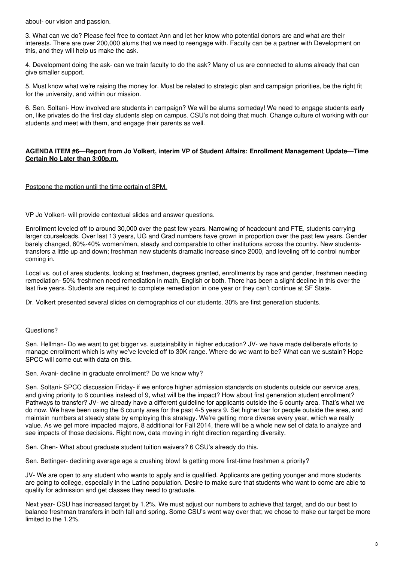about- our vision and passion.

3. What can we do? Please feel free to contact Ann and let her know who potential donors are and what are their interests. There are over 200,000 alums that we need to reengage with. Faculty can be a partner with Development on this, and they will help us make the ask.

4. Development doing the ask- can we train faculty to do the ask? Many of us are connected to alums already that can give smaller support.

5. Must know what we're raising the money for. Must be related to strategic plan and campaign priorities, be the right fit for the university, and within our mission.

6. Sen. Soltani- How involved are students in campaign? We will be alums someday! We need to engage students early on, like privates do the first day students step on campus. CSU's not doing that much. Change culture of working with our students and meet with them, and engage their parents as well.

### **AGENDA ITEM #6—Report from Jo Volkert, interim VP of Student Affairs: Enrollment Management Update—Time Certain No Later than 3:00p.m.**

#### Postpone the motion until the time certain of 3PM.

VP Jo Volkert- will provide contextual slides and answer questions.

Enrollment leveled off to around 30,000 over the past few years. Narrowing of headcount and FTE, students carrying larger courseloads. Over last 13 years, UG and Grad numbers have grown in proportion over the past few years. Gender barely changed, 60%-40% women/men, steady and comparable to other institutions across the country. New studentstransfers a little up and down; freshman new students dramatic increase since 2000, and leveling off to control number coming in.

Local vs. out of area students, looking at freshmen, degrees granted, enrollments by race and gender, freshmen needing remediation- 50% freshmen need remediation in math, English or both. There has been a slight decline in this over the last five years. Students are required to complete remediation in one year or they can't continue at SF State.

Dr. Volkert presented several slides on demographics of our students. 30% are first generation students.

#### Questions?

Sen. Hellman- Do we want to get bigger vs. sustainability in higher education? JV- we have made deliberate efforts to manage enrollment which is why we've leveled off to 30K range. Where do we want to be? What can we sustain? Hope SPCC will come out with data on this.

Sen. Avani- decline in graduate enrollment? Do we know why?

Sen. Soltani- SPCC discussion Friday- if we enforce higher admission standards on students outside our service area, and giving priority to 6 counties instead of 9, what will be the impact? How about first generation student enrollment? Pathways to transfer? JV- we already have a different guideline for applicants outside the 6 county area. That's what we do now. We have been using the 6 county area for the past 4-5 years 9. Set higher bar for people outside the area, and maintain numbers at steady state by employing this strategy. We're getting more diverse every year, which we really value. As we get more impacted majors, 8 additional for Fall 2014, there will be a whole new set of data to analyze and see impacts of those decisions. Right now, data moving in right direction regarding diversity.

Sen. Chen- What about graduate student tuition waivers? 6 CSU's already do this.

Sen. Bettinger- declining average age a crushing blow! Is getting more first-time freshmen a priority?

JV- We are open to any student who wants to apply and is qualified. Applicants are getting younger and more students are going to college, especially in the Latino population. Desire to make sure that students who want to come are able to qualify for admission and get classes they need to graduate.

Next year- CSU has increased target by 1.2%. We must adjust our numbers to achieve that target, and do our best to balance freshman transfers in both fall and spring. Some CSU's went way over that; we chose to make our target be more limited to the 1.2%.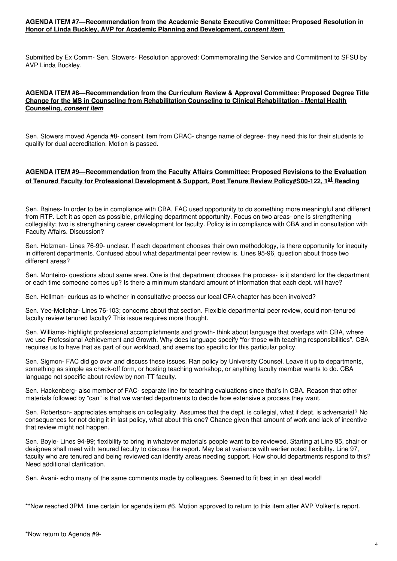# **AGENDA ITEM #7—Recommendation from the Academic Senate Executive Committee: Proposed Resolution in Honor of Linda Buckley, AVP for Academic Planning and Development,** *consent item*

Submitted by Ex Comm- Sen. Stowers- Resolution approved: Commemorating the Service and Commitment to SFSU by AVP Linda Buckley.

#### **AGENDA ITEM #8—Recommendation from the Curriculum Review & Approval Committee: Proposed Degree Title Change for the MS in Counseling from Rehabilitation Counseling to Clinical Rehabilitation - Mental Health Counseling,** *consent item*

Sen. Stowers moved Agenda #8- consent item from CRAC- change name of degree- they need this for their students to qualify for dual accreditation. Motion is passed.

# **AGENDA ITEM #9—Recommendation from the Faculty Affairs Committee: Proposed Revisions to the Evaluation of Tenured Faculty for Professional Development & Support, Post Tenure Review Policy#S00-122, 1 st Reading**

Sen. Baines- In order to be in compliance with CBA, FAC used opportunity to do something more meaningful and different from RTP. Left it as open as possible, privileging department opportunity. Focus on two areas- one is strengthening collegiality; two is strengthening career development for faculty. Policy is in compliance with CBA and in consultation with Faculty Affairs. Discussion?

Sen. Holzman- Lines 76-99- unclear. If each department chooses their own methodology, is there opportunity for inequity in different departments. Confused about what departmental peer review is. Lines 95-96, question about those two different areas?

Sen. Monteiro- questions about same area. One is that department chooses the process- is it standard for the department or each time someone comes up? Is there a minimum standard amount of information that each dept. will have?

Sen. Hellman- curious as to whether in consultative process our local CFA chapter has been involved?

Sen. Yee-Melichar- Lines 76-103; concerns about that section. Flexible departmental peer review, could non-tenured faculty review tenured faculty? This issue requires more thought.

Sen. Williams- highlight professional accomplishments and growth- think about language that overlaps with CBA, where we use Professional Achievement and Growth. Why does language specify "for those with teaching responsibilities". CBA requires us to have that as part of our workload, and seems too specific for this particular policy.

Sen. Sigmon- FAC did go over and discuss these issues. Ran policy by University Counsel. Leave it up to departments, something as simple as check-off form, or hosting teaching workshop, or anything faculty member wants to do. CBA language not specific about review by non-TT faculty.

Sen. Hackenberg- also member of FAC- separate line for teaching evaluations since that's in CBA. Reason that other materials followed by "can" is that we wanted departments to decide how extensive a process they want.

Sen. Robertson- appreciates emphasis on collegiality. Assumes that the dept. is collegial, what if dept. is adversarial? No consequences for not doing it in last policy, what about this one? Chance given that amount of work and lack of incentive that review might not happen.

Sen. Boyle- Lines 94-99; flexibility to bring in whatever materials people want to be reviewed. Starting at Line 95, chair or designee shall meet with tenured faculty to discuss the report. May be at variance with earlier noted flexibility. Line 97, faculty who are tenured and being reviewed can identify areas needing support. How should departments respond to this? Need additional clarification.

Sen. Avani- echo many of the same comments made by colleagues. Seemed to fit best in an ideal world!

\*\*Now reached 3PM, time certain for agenda item #6. Motion approved to return to this item after AVP Volkert's report.